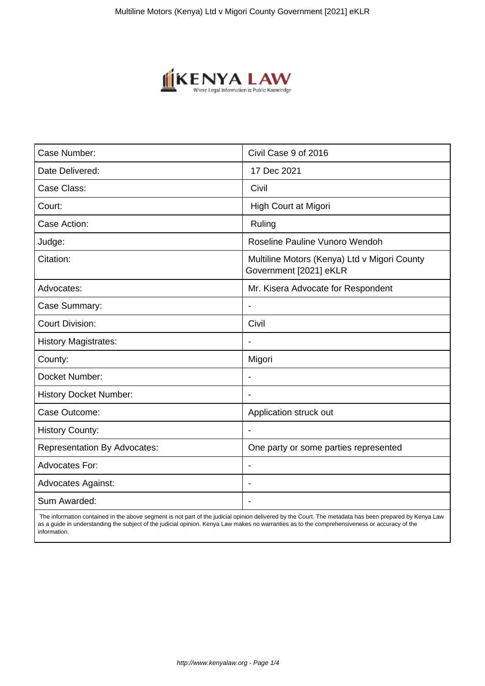

| Case Number:                        | Civil Case 9 of 2016                                                   |
|-------------------------------------|------------------------------------------------------------------------|
| Date Delivered:                     | 17 Dec 2021                                                            |
| Case Class:                         | Civil                                                                  |
| Court:                              | High Court at Migori                                                   |
| Case Action:                        | Ruling                                                                 |
| Judge:                              | Roseline Pauline Vunoro Wendoh                                         |
| Citation:                           | Multiline Motors (Kenya) Ltd v Migori County<br>Government [2021] eKLR |
| Advocates:                          | Mr. Kisera Advocate for Respondent                                     |
| Case Summary:                       |                                                                        |
| <b>Court Division:</b>              | Civil                                                                  |
| <b>History Magistrates:</b>         | $\blacksquare$                                                         |
| County:                             | Migori                                                                 |
| Docket Number:                      |                                                                        |
| <b>History Docket Number:</b>       |                                                                        |
| Case Outcome:                       | Application struck out                                                 |
| <b>History County:</b>              | $\blacksquare$                                                         |
| <b>Representation By Advocates:</b> | One party or some parties represented                                  |
| <b>Advocates For:</b>               |                                                                        |
| <b>Advocates Against:</b>           |                                                                        |
| Sum Awarded:                        |                                                                        |

 The information contained in the above segment is not part of the judicial opinion delivered by the Court. The metadata has been prepared by Kenya Law as a guide in understanding the subject of the judicial opinion. Kenya Law makes no warranties as to the comprehensiveness or accuracy of the information.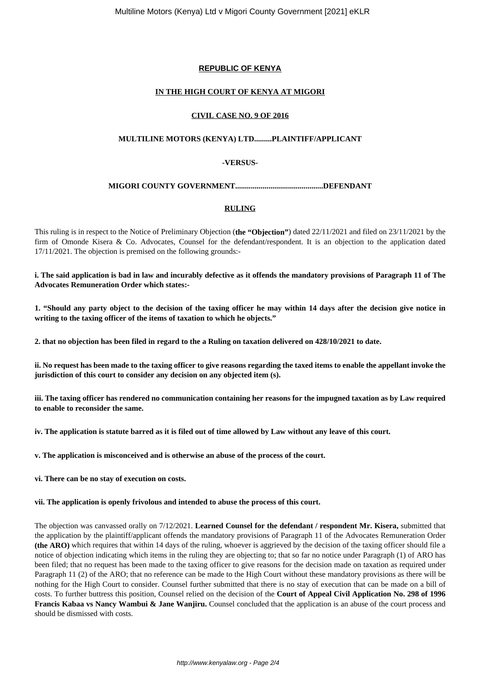# **REPUBLIC OF KENYA**

## **IN THE HIGH COURT OF KENYA AT MIGORI**

### **CIVIL CASE NO. 9 OF 2016**

## **MULTILINE MOTORS (KENYA) LTD.........PLAINTIFF/APPLICANT**

# **-VERSUS-**

# **MIGORI COUNTY GOVERNMENT.............................................DEFENDANT**

## **RULING**

This ruling is in respect to the Notice of Preliminary Objection (**the "Objection"**) dated 22/11/2021 and filed on 23/11/2021 by the firm of Omonde Kisera & Co. Advocates, Counsel for the defendant/respondent. It is an objection to the application dated 17/11/2021. The objection is premised on the following grounds:-

#### **i. The said application is bad in law and incurably defective as it offends the mandatory provisions of Paragraph 11 of The Advocates Remuneration Order which states:-**

**1. "Should any party object to the decision of the taxing officer he may within 14 days after the decision give notice in writing to the taxing officer of the items of taxation to which he objects."**

**2. that no objection has been filed in regard to the a Ruling on taxation delivered on 428/10/2021 to date.** 

**ii. No request has been made to the taxing officer to give reasons regarding the taxed items to enable the appellant invoke the jurisdiction of this court to consider any decision on any objected item (s).** 

**iii. The taxing officer has rendered no communication containing her reasons for the impugned taxation as by Law required to enable to reconsider the same.** 

**iv. The application is statute barred as it is filed out of time allowed by Law without any leave of this court.** 

**v. The application is misconceived and is otherwise an abuse of the process of the court.** 

**vi. There can be no stay of execution on costs.** 

#### **vii. The application is openly frivolous and intended to abuse the process of this court.**

The objection was canvassed orally on 7/12/2021. **Learned Counsel for the defendant / respondent Mr. Kisera,** submitted that the application by the plaintiff/applicant offends the mandatory provisions of Paragraph 11 of the Advocates Remuneration Order **(the ARO)** which requires that within 14 days of the ruling, whoever is aggrieved by the decision of the taxing officer should file a notice of objection indicating which items in the ruling they are objecting to; that so far no notice under Paragraph (1) of ARO has been filed; that no request has been made to the taxing officer to give reasons for the decision made on taxation as required under Paragraph 11 (2) of the ARO; that no reference can be made to the High Court without these mandatory provisions as there will be nothing for the High Court to consider. Counsel further submitted that there is no stay of execution that can be made on a bill of costs. To further buttress this position, Counsel relied on the decision of the **Court of Appeal Civil Application No. 298 of 1996 Francis Kabaa vs Nancy Wambui & Jane Wanjiru.** Counsel concluded that the application is an abuse of the court process and should be dismissed with costs.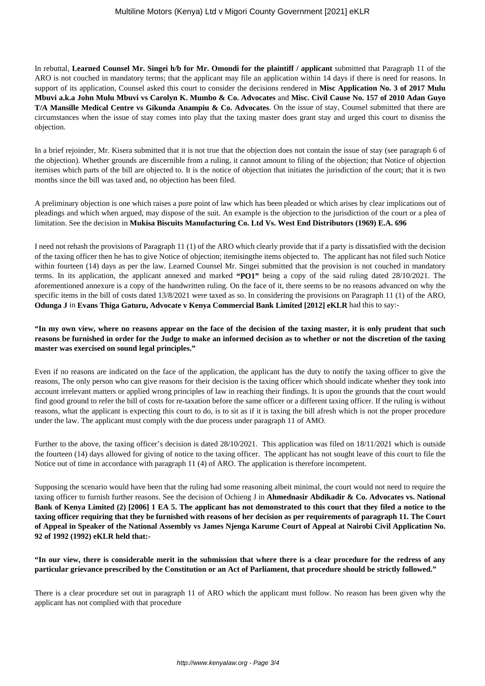In rebuttal, **Learned Counsel Mr. Singei h/b for Mr. Omondi for the plaintiff / applicant** submitted that Paragraph 11 of the ARO is not couched in mandatory terms; that the applicant may file an application within 14 days if there is need for reasons. In support of its application, Counsel asked this court to consider the decisions rendered in **Misc Application No. 3 of 2017 Mulu Mbuvi a.k.a John Mulu Mbuvi vs Carolyn K. Mumbo & Co. Advocates** and **Misc. Civil Cause No. 157 of 2010 Adan Guyo T/A Mansille Medical Centre vs Gikunda Anampiu & Co. Advocates**. On the issue of stay, Counsel submitted that there are circumstances when the issue of stay comes into play that the taxing master does grant stay and urged this court to dismiss the objection.

In a brief rejoinder, Mr. Kisera submitted that it is not true that the objection does not contain the issue of stay (see paragraph 6 of the objection). Whether grounds are discernible from a ruling, it cannot amount to filing of the objection; that Notice of objection itemises which parts of the bill are objected to. It is the notice of objection that initiates the jurisdiction of the court; that it is two months since the bill was taxed and, no objection has been filed.

A preliminary objection is one which raises a pure point of law which has been pleaded or which arises by clear implications out of pleadings and which when argued, may dispose of the suit. An example is the objection to the jurisdiction of the court or a plea of limitation. See the decision in **Mukisa Biscuits Manufacturing Co. Ltd Vs. West End Distributors (1969) E.A. 696** 

I need not rehash the provisions of Paragraph 11 (1) of the ARO which clearly provide that if a party is dissatisfied with the decision of the taxing officer then he has to give Notice of objection; itemisingthe items objected to. The applicant has not filed such Notice within fourteen (14) days as per the law. Learned Counsel Mr. Singei submitted that the provision is not couched in mandatory terms. In its application, the applicant annexed and marked **"PO1"** being a copy of the said ruling dated 28/10/2021. The aforementioned annexure is a copy of the handwritten ruling. On the face of it, there seems to be no reasons advanced on why the specific items in the bill of costs dated 13/8/2021 were taxed as so. In considering the provisions on Paragraph 11 (1) of the ARO, **Odunga J** in **Evans Thiga Gaturu, Advocate v Kenya Commercial Bank Limited [2012] eKLR** had this to say:-

**"In my own view, where no reasons appear on the face of the decision of the taxing master, it is only prudent that such reasons be furnished in order for the Judge to make an informed decision as to whether or not the discretion of the taxing master was exercised on sound legal principles."**

Even if no reasons are indicated on the face of the application, the applicant has the duty to notify the taxing officer to give the reasons, The only person who can give reasons for their decision is the taxing officer which should indicate whether they took into account irrelevant matters or applied wrong principles of law in reaching their findings. It is upon the grounds that the court would find good ground to refer the bill of costs for re-taxation before the same officer or a different taxing officer. If the ruling is without reasons, what the applicant is expecting this court to do, is to sit as if it is taxing the bill afresh which is not the proper procedure under the law. The applicant must comply with the due process under paragraph 11 of AMO.

Further to the above, the taxing officer's decision is dated 28/10/2021. This application was filed on 18/11/2021 which is outside the fourteen (14) days allowed for giving of notice to the taxing officer. The applicant has not sought leave of this court to file the Notice out of time in accordance with paragraph 11 (4) of ARO. The application is therefore incompetent.

Supposing the scenario would have been that the ruling had some reasoning albeit minimal, the court would not need to require the taxing officer to furnish further reasons. See the decision of Ochieng J in **Ahmednasir Abdikadir & Co. Advocates vs. National Bank of Kenya Limited (2) [2006] 1 EA 5. The applicant has not demonstrated to this court that they filed a notice to the taxing officer requiring that they be furnished with reasons of her decision as per requirements of paragraph 11. The Court of Appeal in Speaker of the National Assembly vs James Njenga Karume Court of Appeal at Nairobi Civil Application No. 92 of 1992 (1992) eKLR held that:-**

**"In our view, there is considerable merit in the submission that where there is a clear procedure for the redress of any particular grievance prescribed by the Constitution or an Act of Parliament, that procedure should be strictly followed."**

There is a clear procedure set out in paragraph 11 of ARO which the applicant must follow. No reason has been given why the applicant has not complied with that procedure